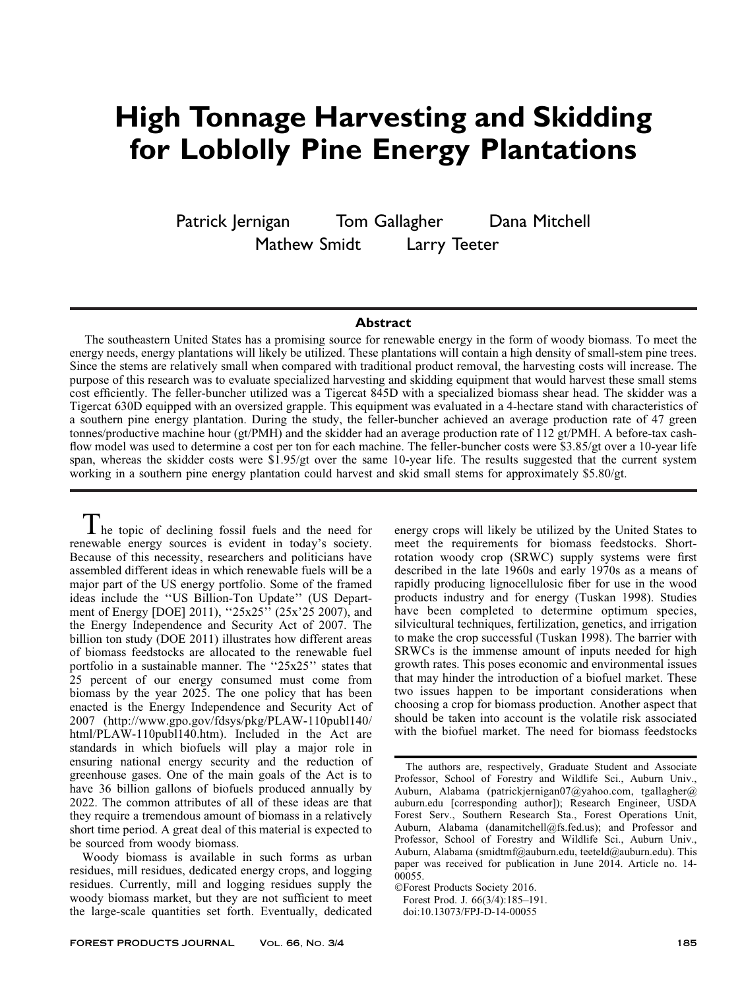# High Tonnage Harvesting and Skidding for Loblolly Pine Energy Plantations

Patrick Jernigan Tom Gallagher Dana Mitchell

Mathew Smidt Larry Teeter

## Abstract

The southeastern United States has a promising source for renewable energy in the form of woody biomass. To meet the energy needs, energy plantations will likely be utilized. These plantations will contain a high density of small-stem pine trees. Since the stems are relatively small when compared with traditional product removal, the harvesting costs will increase. The purpose of this research was to evaluate specialized harvesting and skidding equipment that would harvest these small stems cost efficiently. The feller-buncher utilized was a Tigercat 845D with a specialized biomass shear head. The skidder was a Tigercat 630D equipped with an oversized grapple. This equipment was evaluated in a 4-hectare stand with characteristics of a southern pine energy plantation. During the study, the feller-buncher achieved an average production rate of 47 green tonnes/productive machine hour (gt/PMH) and the skidder had an average production rate of 112 gt/PMH. A before-tax cashflow model was used to determine a cost per ton for each machine. The feller-buncher costs were \$3.85/gt over a 10-year life span, whereas the skidder costs were \$1.95/gt over the same 10-year life. The results suggested that the current system working in a southern pine energy plantation could harvest and skid small stems for approximately \$5.80/gt.

I he topic of declining fossil fuels and the need for renewable energy sources is evident in today's society. Because of this necessity, researchers and politicians have assembled different ideas in which renewable fuels will be a major part of the US energy portfolio. Some of the framed ideas include the ''US Billion-Ton Update'' (US Department of Energy [DOE] 2011), "25x25" (25x'25 2007), and the Energy Independence and Security Act of 2007. The billion ton study (DOE 2011) illustrates how different areas of biomass feedstocks are allocated to the renewable fuel portfolio in a sustainable manner. The ''25x25'' states that 25 percent of our energy consumed must come from biomass by the year 2025. The one policy that has been enacted is the Energy Independence and Security Act of 2007 (http://www.gpo.gov/fdsys/pkg/PLAW-110publ140/ html/PLAW-110publ140.htm). Included in the Act are standards in which biofuels will play a major role in ensuring national energy security and the reduction of greenhouse gases. One of the main goals of the Act is to have 36 billion gallons of biofuels produced annually by 2022. The common attributes of all of these ideas are that they require a tremendous amount of biomass in a relatively short time period. A great deal of this material is expected to be sourced from woody biomass.

Woody biomass is available in such forms as urban residues, mill residues, dedicated energy crops, and logging residues. Currently, mill and logging residues supply the woody biomass market, but they are not sufficient to meet the large-scale quantities set forth. Eventually, dedicated energy crops will likely be utilized by the United States to meet the requirements for biomass feedstocks. Shortrotation woody crop (SRWC) supply systems were first described in the late 1960s and early 1970s as a means of rapidly producing lignocellulosic fiber for use in the wood products industry and for energy (Tuskan 1998). Studies have been completed to determine optimum species, silvicultural techniques, fertilization, genetics, and irrigation to make the crop successful (Tuskan 1998). The barrier with SRWCs is the immense amount of inputs needed for high growth rates. This poses economic and environmental issues that may hinder the introduction of a biofuel market. These two issues happen to be important considerations when choosing a crop for biomass production. Another aspect that should be taken into account is the volatile risk associated with the biofuel market. The need for biomass feedstocks

The authors are, respectively, Graduate Student and Associate Professor, School of Forestry and Wildlife Sci., Auburn Univ., Auburn, Alabama (patrickjernigan07@yahoo.com, tgallagher@ auburn.edu [corresponding author]); Research Engineer, USDA Forest Serv., Southern Research Sta., Forest Operations Unit, Auburn, Alabama (danamitchell@fs.fed.us); and Professor and Professor, School of Forestry and Wildlife Sci., Auburn Univ., Auburn, Alabama (smidtmf@auburn.edu, teeteld@auburn.edu). This paper was received for publication in June 2014. Article no. 14- 00055.

<sup>-</sup>Forest Products Society 2016.

Forest Prod. J. 66(3/4):185–191.

doi:10.13073/FPJ-D-14-00055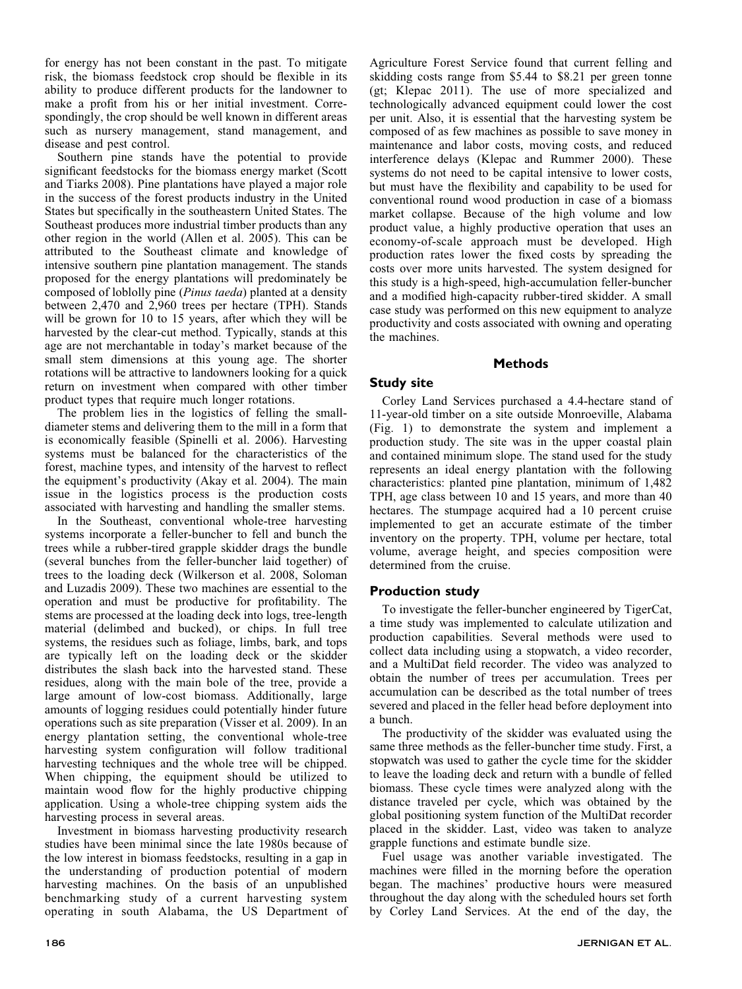for energy has not been constant in the past. To mitigate risk, the biomass feedstock crop should be flexible in its ability to produce different products for the landowner to make a profit from his or her initial investment. Correspondingly, the crop should be well known in different areas such as nursery management, stand management, and disease and pest control.

Southern pine stands have the potential to provide significant feedstocks for the biomass energy market (Scott and Tiarks 2008). Pine plantations have played a major role in the success of the forest products industry in the United States but specifically in the southeastern United States. The Southeast produces more industrial timber products than any other region in the world (Allen et al. 2005). This can be attributed to the Southeast climate and knowledge of intensive southern pine plantation management. The stands proposed for the energy plantations will predominately be composed of loblolly pine (Pinus taeda) planted at a density between 2,470 and 2,960 trees per hectare (TPH). Stands will be grown for 10 to 15 years, after which they will be harvested by the clear-cut method. Typically, stands at this age are not merchantable in today's market because of the small stem dimensions at this young age. The shorter rotations will be attractive to landowners looking for a quick return on investment when compared with other timber product types that require much longer rotations.

The problem lies in the logistics of felling the smalldiameter stems and delivering them to the mill in a form that is economically feasible (Spinelli et al. 2006). Harvesting systems must be balanced for the characteristics of the forest, machine types, and intensity of the harvest to reflect the equipment's productivity (Akay et al. 2004). The main issue in the logistics process is the production costs associated with harvesting and handling the smaller stems.

In the Southeast, conventional whole-tree harvesting systems incorporate a feller-buncher to fell and bunch the trees while a rubber-tired grapple skidder drags the bundle (several bunches from the feller-buncher laid together) of trees to the loading deck (Wilkerson et al. 2008, Soloman and Luzadis 2009). These two machines are essential to the operation and must be productive for profitability. The stems are processed at the loading deck into logs, tree-length material (delimbed and bucked), or chips. In full tree systems, the residues such as foliage, limbs, bark, and tops are typically left on the loading deck or the skidder distributes the slash back into the harvested stand. These residues, along with the main bole of the tree, provide a large amount of low-cost biomass. Additionally, large amounts of logging residues could potentially hinder future operations such as site preparation (Visser et al. 2009). In an energy plantation setting, the conventional whole-tree harvesting system configuration will follow traditional harvesting techniques and the whole tree will be chipped. When chipping, the equipment should be utilized to maintain wood flow for the highly productive chipping application. Using a whole-tree chipping system aids the harvesting process in several areas.

Investment in biomass harvesting productivity research studies have been minimal since the late 1980s because of the low interest in biomass feedstocks, resulting in a gap in the understanding of production potential of modern harvesting machines. On the basis of an unpublished benchmarking study of a current harvesting system operating in south Alabama, the US Department of Agriculture Forest Service found that current felling and skidding costs range from \$5.44 to \$8.21 per green tonne (gt; Klepac 2011). The use of more specialized and technologically advanced equipment could lower the cost per unit. Also, it is essential that the harvesting system be composed of as few machines as possible to save money in maintenance and labor costs, moving costs, and reduced interference delays (Klepac and Rummer 2000). These systems do not need to be capital intensive to lower costs, but must have the flexibility and capability to be used for conventional round wood production in case of a biomass market collapse. Because of the high volume and low product value, a highly productive operation that uses an economy-of-scale approach must be developed. High production rates lower the fixed costs by spreading the costs over more units harvested. The system designed for this study is a high-speed, high-accumulation feller-buncher and a modified high-capacity rubber-tired skidder. A small case study was performed on this new equipment to analyze productivity and costs associated with owning and operating the machines.

## Methods

## Study site

Corley Land Services purchased a 4.4-hectare stand of 11-year-old timber on a site outside Monroeville, Alabama (Fig. 1) to demonstrate the system and implement a production study. The site was in the upper coastal plain and contained minimum slope. The stand used for the study represents an ideal energy plantation with the following characteristics: planted pine plantation, minimum of 1,482 TPH, age class between 10 and 15 years, and more than 40 hectares. The stumpage acquired had a 10 percent cruise implemented to get an accurate estimate of the timber inventory on the property. TPH, volume per hectare, total volume, average height, and species composition were determined from the cruise.

## Production study

To investigate the feller-buncher engineered by TigerCat, a time study was implemented to calculate utilization and production capabilities. Several methods were used to collect data including using a stopwatch, a video recorder, and a MultiDat field recorder. The video was analyzed to obtain the number of trees per accumulation. Trees per accumulation can be described as the total number of trees severed and placed in the feller head before deployment into a bunch.

The productivity of the skidder was evaluated using the same three methods as the feller-buncher time study. First, a stopwatch was used to gather the cycle time for the skidder to leave the loading deck and return with a bundle of felled biomass. These cycle times were analyzed along with the distance traveled per cycle, which was obtained by the global positioning system function of the MultiDat recorder placed in the skidder. Last, video was taken to analyze grapple functions and estimate bundle size.

Fuel usage was another variable investigated. The machines were filled in the morning before the operation began. The machines' productive hours were measured throughout the day along with the scheduled hours set forth by Corley Land Services. At the end of the day, the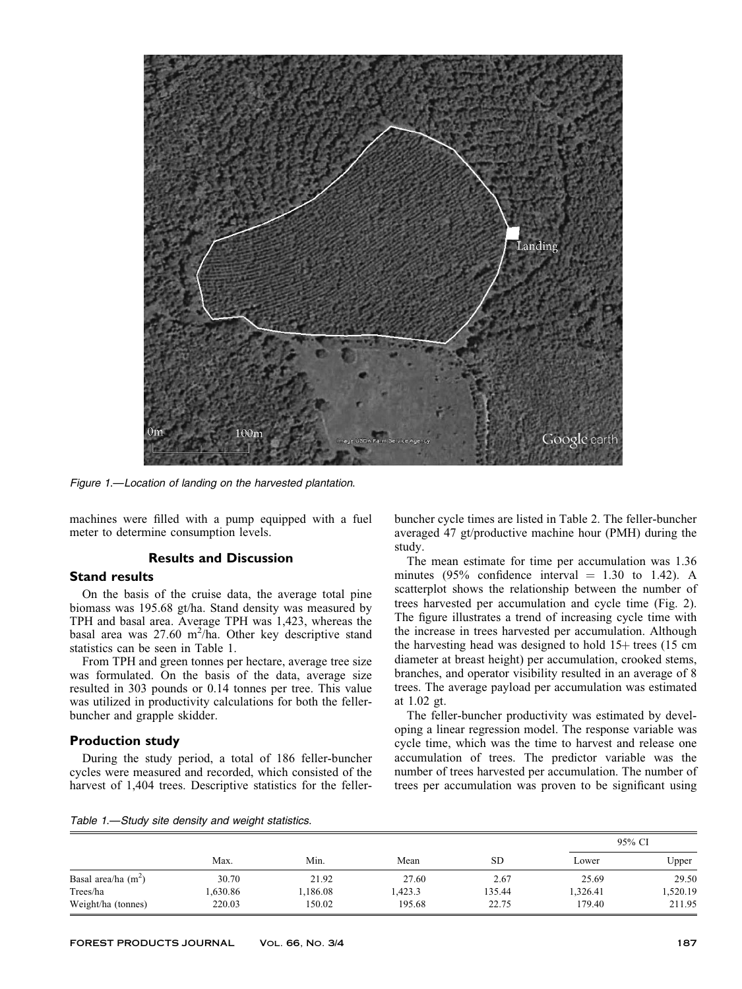

Figure 1.—Location of landing on the harvested plantation.

machines were filled with a pump equipped with a fuel meter to determine consumption levels.

#### Results and Discussion

### Stand results

On the basis of the cruise data, the average total pine biomass was 195.68 gt/ha. Stand density was measured by TPH and basal area. Average TPH was 1,423, whereas the basal area was  $27.60 \text{ m}^2/\text{ha}$ . Other key descriptive stand statistics can be seen in Table 1.

From TPH and green tonnes per hectare, average tree size was formulated. On the basis of the data, average size resulted in 303 pounds or 0.14 tonnes per tree. This value was utilized in productivity calculations for both the fellerbuncher and grapple skidder.

### Production study

During the study period, a total of 186 feller-buncher cycles were measured and recorded, which consisted of the harvest of 1,404 trees. Descriptive statistics for the fellerbuncher cycle times are listed in Table 2. The feller-buncher averaged 47 gt/productive machine hour (PMH) during the study.

The mean estimate for time per accumulation was 1.36 minutes (95% confidence interval  $= 1.30$  to 1.42). A scatterplot shows the relationship between the number of trees harvested per accumulation and cycle time (Fig. 2). The figure illustrates a trend of increasing cycle time with the increase in trees harvested per accumulation. Although the harvesting head was designed to hold  $15+$  trees (15 cm diameter at breast height) per accumulation, crooked stems, branches, and operator visibility resulted in an average of 8 trees. The average payload per accumulation was estimated at 1.02 gt.

The feller-buncher productivity was estimated by developing a linear regression model. The response variable was cycle time, which was the time to harvest and release one accumulation of trees. The predictor variable was the number of trees harvested per accumulation. The number of trees per accumulation was proven to be significant using

|  | Table 1.-Study site density and weight statistics. |
|--|----------------------------------------------------|
|  |                                                    |

|                       |         |         |        |           |          | 95% CI   |  |
|-----------------------|---------|---------|--------|-----------|----------|----------|--|
|                       | Max.    | Min.    | Mean   | <b>SD</b> | Lower    | Upper    |  |
| Basal area/ha $(m^2)$ | 30.70   | 21.92   | 27.60  | 2.67      | 25.69    | 29.50    |  |
| Trees/ha              | .630.86 | ,186.08 | ,423.3 | 135.44    | 1,326.41 | 1,520.19 |  |
| Weight/ha (tonnes)    | 220.03  | 150.02  | 195.68 | 22.75     | 179.40   | 211.95   |  |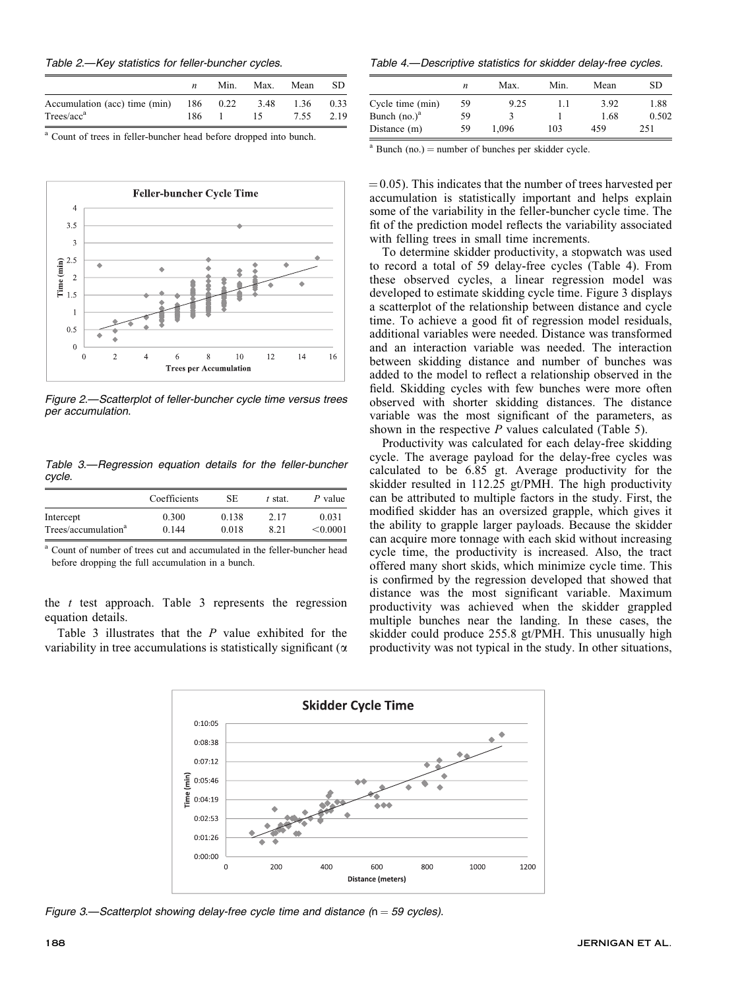| Table 2.-Key statistics for feller-buncher cycles. |  |
|----------------------------------------------------|--|
|----------------------------------------------------|--|

|                                                       | Min. | Max.     | Mean | SD.  |
|-------------------------------------------------------|------|----------|------|------|
| Accumulation (acc) time (min) 186 0.22 3.48 1.36 0.33 |      |          |      |      |
| Trees/acc <sup>a</sup>                                |      | 186 1 15 | 7.55 | 2.19 |

<sup>a</sup> Count of trees in feller-buncher head before dropped into bunch.



Figure 2.—Scatterplot of feller-buncher cycle time versus trees per accumulation.

Table 3.—Regression equation details for the feller-buncher cycle.

|                                 | Coefficients | SE.   | t stat. | P value  |
|---------------------------------|--------------|-------|---------|----------|
| Intercept                       | 0.300        | 0.138 | 2.17    | 0.031    |
| Trees/accumulation <sup>a</sup> | 0.144        | 0.018 | 8.21    | < 0.0001 |

<sup>a</sup> Count of number of trees cut and accumulated in the feller-buncher head before dropping the full accumulation in a bunch.

the  $t$  test approach. Table 3 represents the regression equation details.

Table 3 illustrates that the  $P$  value exhibited for the variability in tree accumulations is statistically significant ( $\alpha$ )

Table 4.—Descriptive statistics for skidder delay-free cycles.

|                  | n  | Max.  | Min. | Mean | SD    |
|------------------|----|-------|------|------|-------|
| Cycle time (min) | 59 | 9.25  | 1.1  | 3.92 | 1.88  |
| Bunch $(no.)^a$  | 59 |       |      | 1.68 | 0.502 |
| Distance (m)     | 59 | 1.096 | 103  | 459  | 251   |

 $a$  Bunch (no.) = number of bunches per skidder cycle.

 $(0.05)$ . This indicates that the number of trees harvested per accumulation is statistically important and helps explain some of the variability in the feller-buncher cycle time. The fit of the prediction model reflects the variability associated with felling trees in small time increments.

To determine skidder productivity, a stopwatch was used to record a total of 59 delay-free cycles (Table 4). From these observed cycles, a linear regression model was developed to estimate skidding cycle time. Figure 3 displays a scatterplot of the relationship between distance and cycle time. To achieve a good fit of regression model residuals, additional variables were needed. Distance was transformed and an interaction variable was needed. The interaction between skidding distance and number of bunches was added to the model to reflect a relationship observed in the field. Skidding cycles with few bunches were more often observed with shorter skidding distances. The distance variable was the most significant of the parameters, as shown in the respective  $P$  values calculated (Table 5).

Productivity was calculated for each delay-free skidding cycle. The average payload for the delay-free cycles was calculated to be 6.85 gt. Average productivity for the skidder resulted in 112.25 gt/PMH. The high productivity can be attributed to multiple factors in the study. First, the modified skidder has an oversized grapple, which gives it the ability to grapple larger payloads. Because the skidder can acquire more tonnage with each skid without increasing cycle time, the productivity is increased. Also, the tract offered many short skids, which minimize cycle time. This is confirmed by the regression developed that showed that distance was the most significant variable. Maximum productivity was achieved when the skidder grappled multiple bunches near the landing. In these cases, the skidder could produce 255.8 gt/PMH. This unusually high productivity was not typical in the study. In other situations,



Figure 3.—Scatterplot showing delay-free cycle time and distance ( $n = 59$  cycles).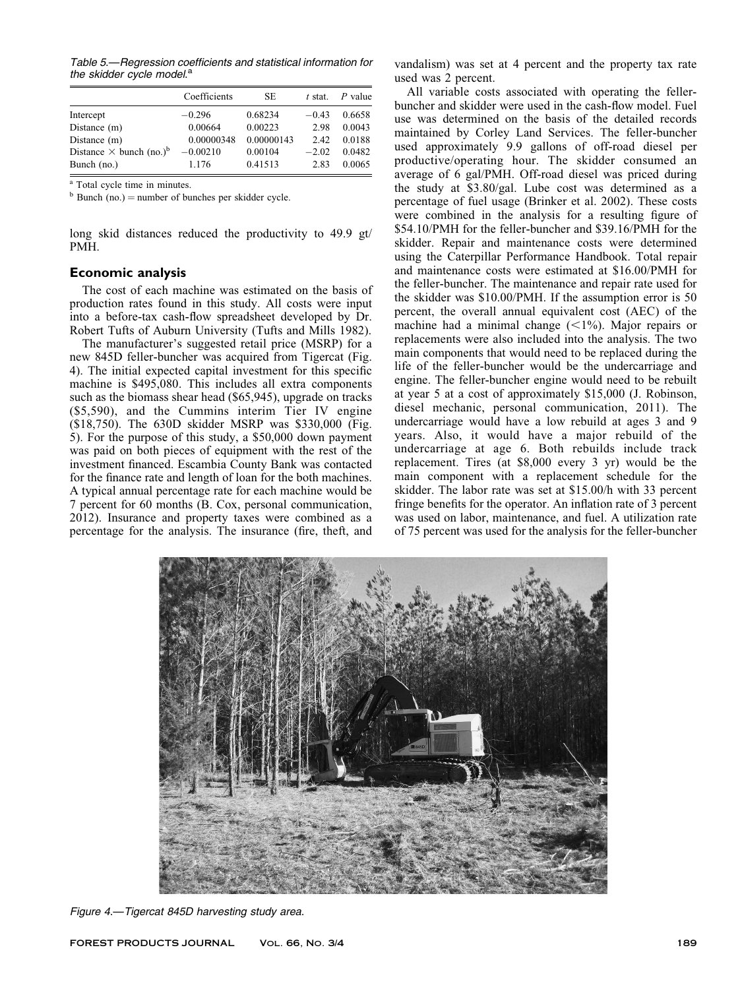Table 5.—Regression coefficients and statistical information for the skidder cycle model.<sup>a</sup>

|                                            | Coefficients | <b>SE</b>  | $t$ stat. | $P$ value |
|--------------------------------------------|--------------|------------|-----------|-----------|
| Intercept                                  | $-0.296$     | 0.68234    | $-0.43$   | 0.6658    |
| Distance $(m)$                             | 0.00664      | 0.00223    | 2.98      | 0.0043    |
| Distance $(m)$                             | 0.00000348   | 0.00000143 | 2.42      | 0.0188    |
| Distance $\times$ bunch (no.) <sup>b</sup> | $-0.00210$   | 0.00104    | $-2.02$   | 0.0482    |
| Bunch (no.)                                | 1.176        | 0.41513    | 2.83      | 0.0065    |

<sup>a</sup> Total cycle time in minutes.

 $<sup>b</sup>$  Bunch (no.) = number of bunches per skidder cycle.</sup>

long skid distances reduced the productivity to 49.9 gt/ PMH.

#### Economic analysis

The cost of each machine was estimated on the basis of production rates found in this study. All costs were input into a before-tax cash-flow spreadsheet developed by Dr. Robert Tufts of Auburn University (Tufts and Mills 1982).

The manufacturer's suggested retail price (MSRP) for a new 845D feller-buncher was acquired from Tigercat (Fig. 4). The initial expected capital investment for this specific machine is \$495,080. This includes all extra components such as the biomass shear head (\$65,945), upgrade on tracks (\$5,590), and the Cummins interim Tier IV engine (\$18,750). The 630D skidder MSRP was \$330,000 (Fig. 5). For the purpose of this study, a \$50,000 down payment was paid on both pieces of equipment with the rest of the investment financed. Escambia County Bank was contacted for the finance rate and length of loan for the both machines. A typical annual percentage rate for each machine would be 7 percent for 60 months (B. Cox, personal communication, 2012). Insurance and property taxes were combined as a percentage for the analysis. The insurance (fire, theft, and vandalism) was set at 4 percent and the property tax rate used was 2 percent.

All variable costs associated with operating the fellerbuncher and skidder were used in the cash-flow model. Fuel use was determined on the basis of the detailed records maintained by Corley Land Services. The feller-buncher used approximately 9.9 gallons of off-road diesel per productive/operating hour. The skidder consumed an average of 6 gal/PMH. Off-road diesel was priced during the study at \$3.80/gal. Lube cost was determined as a percentage of fuel usage (Brinker et al. 2002). These costs were combined in the analysis for a resulting figure of \$54.10/PMH for the feller-buncher and \$39.16/PMH for the skidder. Repair and maintenance costs were determined using the Caterpillar Performance Handbook. Total repair and maintenance costs were estimated at \$16.00/PMH for the feller-buncher. The maintenance and repair rate used for the skidder was \$10.00/PMH. If the assumption error is 50 percent, the overall annual equivalent cost (AEC) of the machine had a minimal change  $(\leq 1\%)$ . Major repairs or replacements were also included into the analysis. The two main components that would need to be replaced during the life of the feller-buncher would be the undercarriage and engine. The feller-buncher engine would need to be rebuilt at year 5 at a cost of approximately \$15,000 (J. Robinson, diesel mechanic, personal communication, 2011). The undercarriage would have a low rebuild at ages 3 and 9 years. Also, it would have a major rebuild of the undercarriage at age 6. Both rebuilds include track replacement. Tires (at \$8,000 every 3 yr) would be the main component with a replacement schedule for the skidder. The labor rate was set at \$15.00/h with 33 percent fringe benefits for the operator. An inflation rate of 3 percent was used on labor, maintenance, and fuel. A utilization rate of 75 percent was used for the analysis for the feller-buncher



Figure 4.—Tigercat 845D harvesting study area.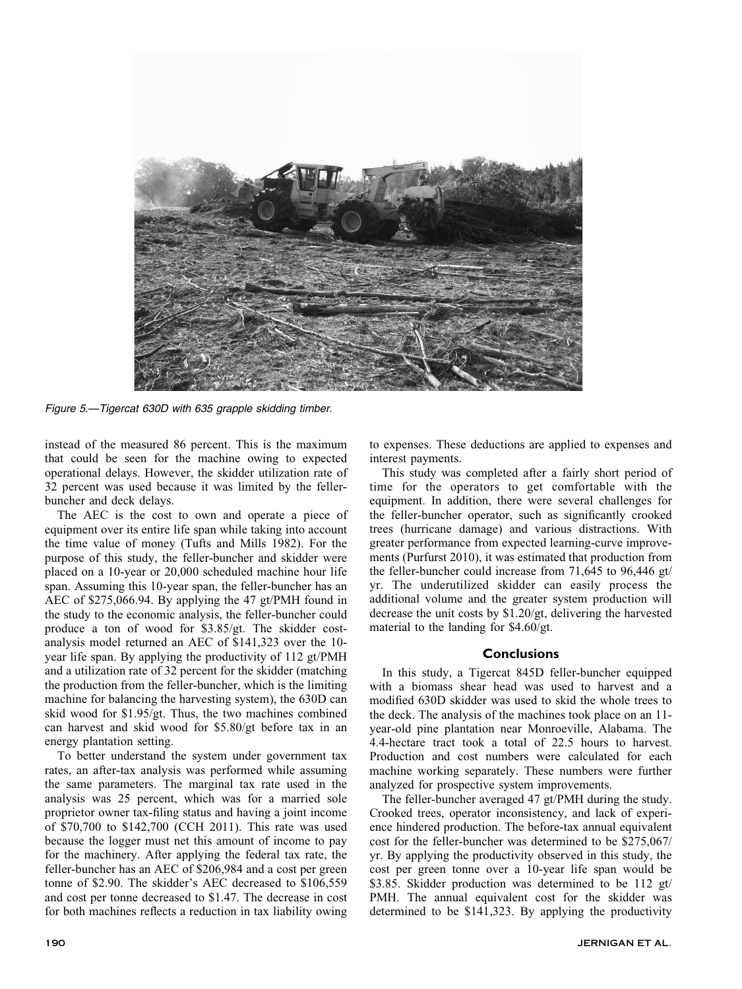

Figure 5.—Tigercat 630D with 635 grapple skidding timber.

instead of the measured 86 percent. This is the maximum that could be seen for the machine owing to expected operational delays. However, the skidder utilization rate of 32 percent was used because it was limited by the fellerbuncher and deck delays.

The AEC is the cost to own and operate a piece of equipment over its entire life span while taking into account the time value of money (Tufts and Mills 1982). For the purpose of this study, the feller-buncher and skidder were placed on a 10-year or 20,000 scheduled machine hour life span. Assuming this 10-year span, the feller-buncher has an AEC of \$275,066.94. By applying the 47 gt/PMH found in the study to the economic analysis, the feller-buncher could produce a ton of wood for \$3.85/gt. The skidder costanalysis model returned an AEC of \$141,323 over the 10 year life span. By applying the productivity of 112 gt/PMH and a utilization rate of 32 percent for the skidder (matching the production from the feller-buncher, which is the limiting machine for balancing the harvesting system), the 630D can skid wood for \$1.95/gt. Thus, the two machines combined can harvest and skid wood for \$5.80/gt before tax in an energy plantation setting.

To better understand the system under government tax rates, an after-tax analysis was performed while assuming the same parameters. The marginal tax rate used in the analysis was 25 percent, which was for a married sole proprietor owner tax-filing status and having a joint income of \$70,700 to \$142,700 (CCH 2011). This rate was used because the logger must net this amount of income to pay for the machinery. After applying the federal tax rate, the feller-buncher has an AEC of \$206,984 and a cost per green tonne of \$2.90. The skidder's AEC decreased to \$106,559 and cost per tonne decreased to \$1.47. The decrease in cost for both machines reflects a reduction in tax liability owing

to expenses. These deductions are applied to expenses and interest payments.

This study was completed after a fairly short period of time for the operators to get comfortable with the equipment. In addition, there were several challenges for the feller-buncher operator, such as significantly crooked trees (hurricane damage) and various distractions. With greater performance from expected learning-curve improvements (Purfurst 2010), it was estimated that production from the feller-buncher could increase from 71,645 to 96,446 gt/ yr. The underutilized skidder can easily process the additional volume and the greater system production will decrease the unit costs by \$1.20/gt, delivering the harvested material to the landing for \$4.60/gt.

### **Conclusions**

In this study, a Tigercat 845D feller-buncher equipped with a biomass shear head was used to harvest and a modified 630D skidder was used to skid the whole trees to the deck. The analysis of the machines took place on an 11 year-old pine plantation near Monroeville, Alabama. The 4.4-hectare tract took a total of 22.5 hours to harvest. Production and cost numbers were calculated for each machine working separately. These numbers were further analyzed for prospective system improvements.

The feller-buncher averaged 47 gt/PMH during the study. Crooked trees, operator inconsistency, and lack of experience hindered production. The before-tax annual equivalent cost for the feller-buncher was determined to be \$275,067/ yr. By applying the productivity observed in this study, the cost per green tonne over a 10-year life span would be \$3.85. Skidder production was determined to be 112 gt/ PMH. The annual equivalent cost for the skidder was determined to be \$141,323. By applying the productivity